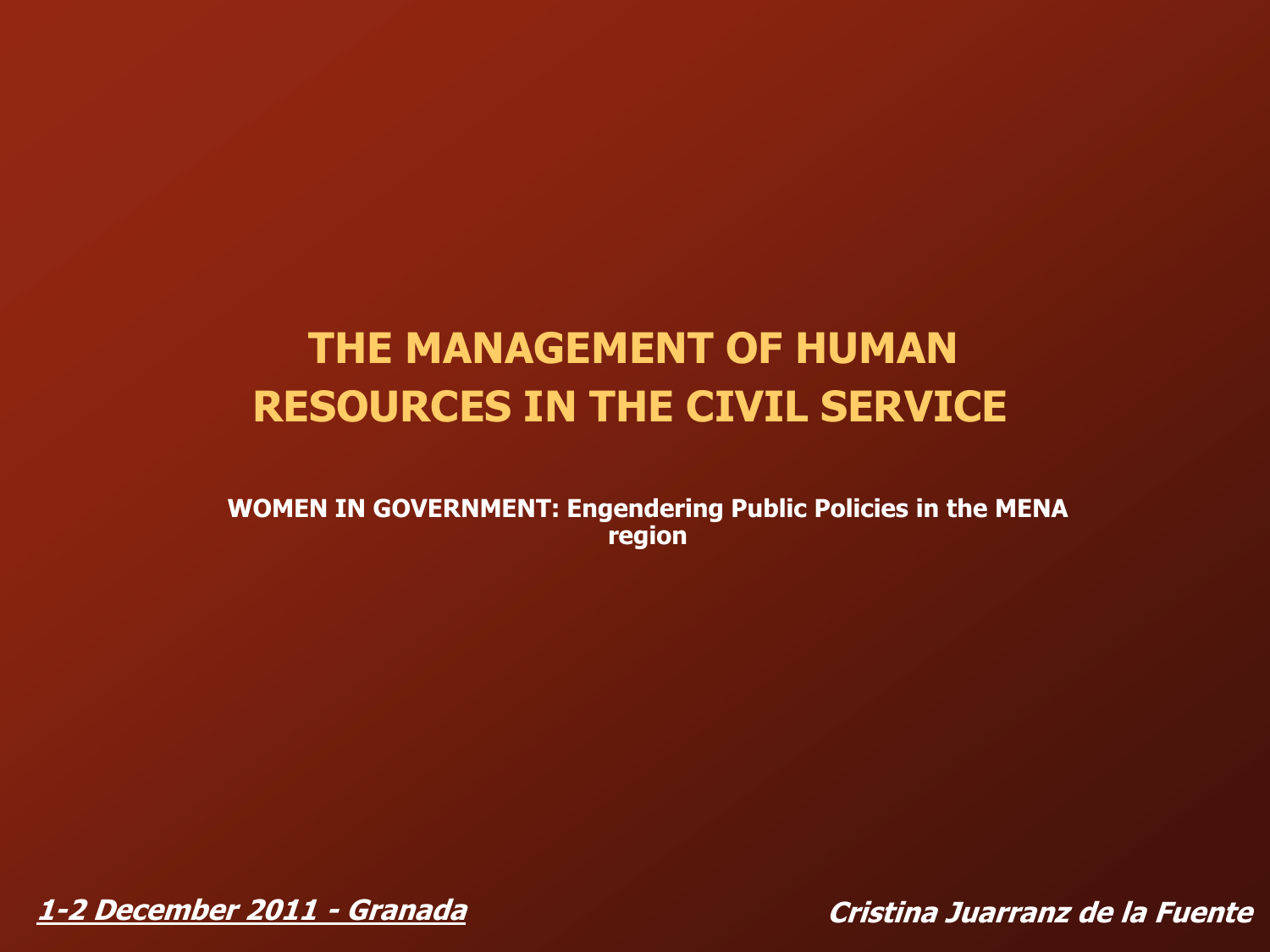# **THE MANAGEMENT OF HUMAN RESOURCES IN THE CIVIL SERVICE**

**WOMEN IN GOVERNMENT: Engendering Public Policies in the MENA region**

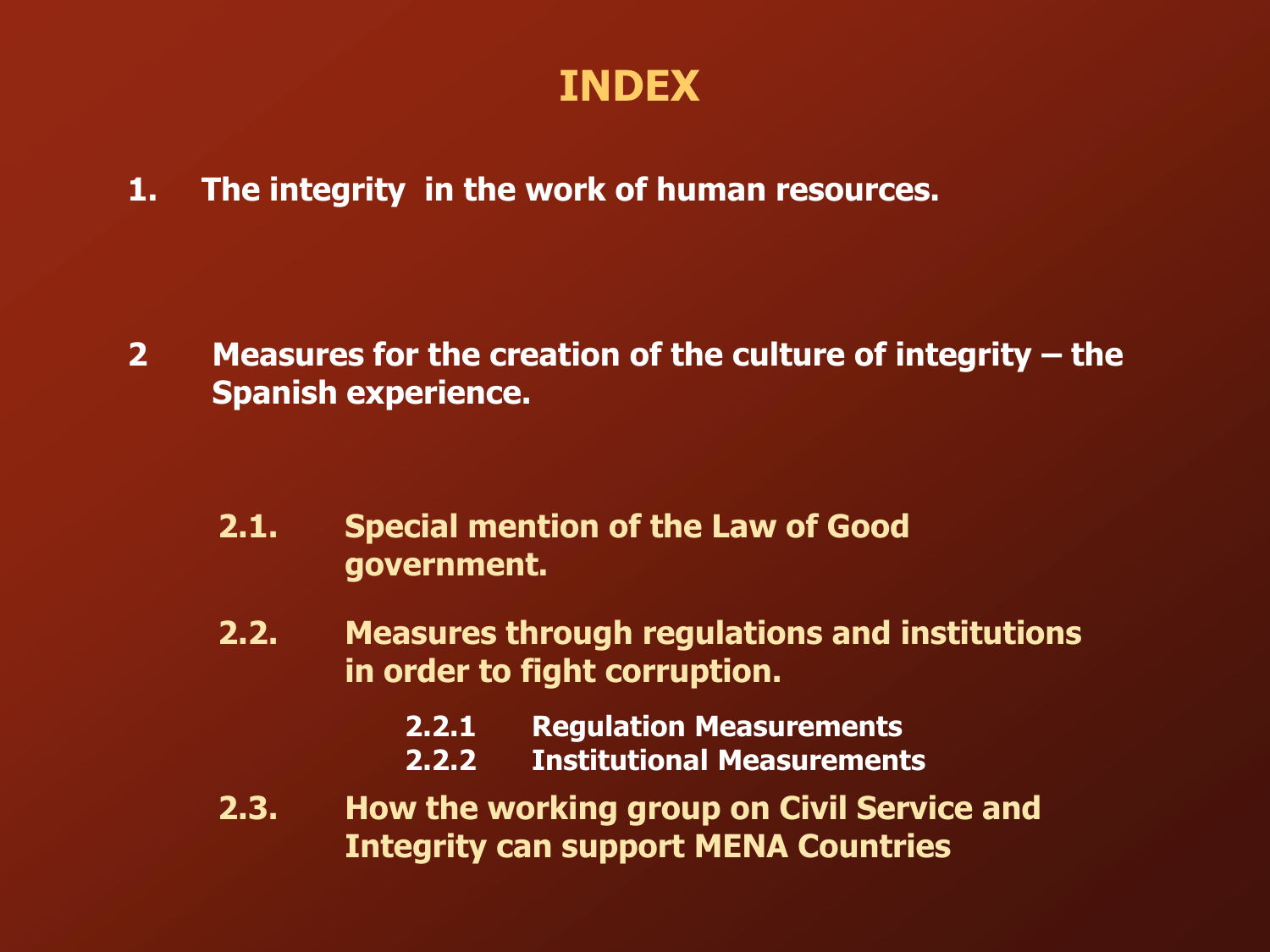### **INDEX**

**1. The integrity in the work of human resources.**

**2 Measures for the creation of the culture of integrity – the Spanish experience.**

- **2.1. Special mention of the Law of Good government.**
- **2.2. Measures through regulations and institutions in order to fight corruption.**
	- **2.2.1 Regulation Measurements**
	- **2.2.2 Institutional Measurements**
- **2.3. How the working group on Civil Service and Integrity can support MENA Countries**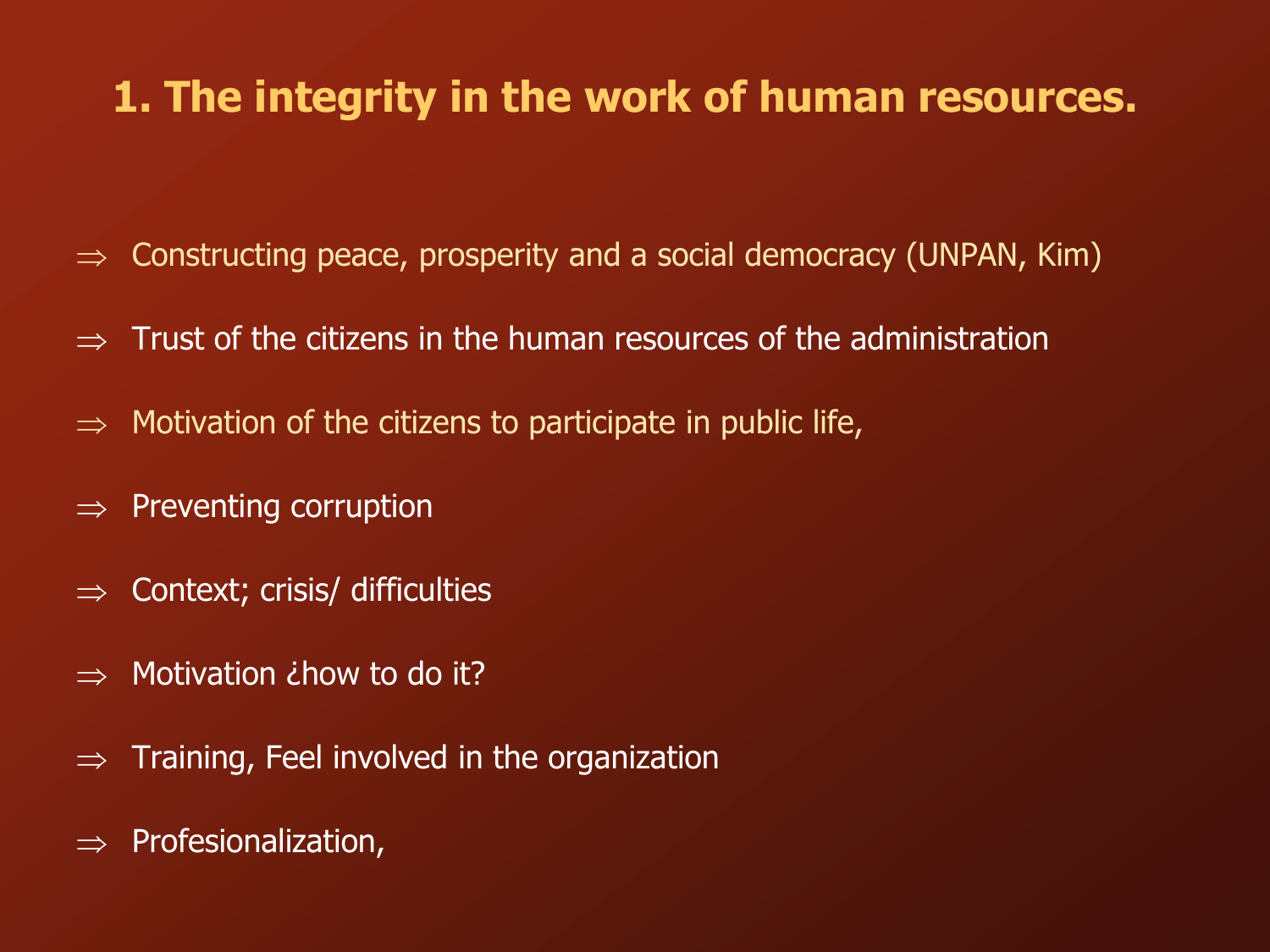### **1. The integrity in the work of human resources.**

- $\Rightarrow$  Constructing peace, prosperity and a social democracy (UNPAN, Kim)
- $\Rightarrow$  Trust of the citizens in the human resources of the administration
- Motivation of the citizens to participate in public life,
- Preventing corruption
- $\Rightarrow$  Context; crisis/ difficulties
- Motivation *i* how to do it?
- $\Rightarrow$  Training, Feel involved in the organization
- Profesionalization,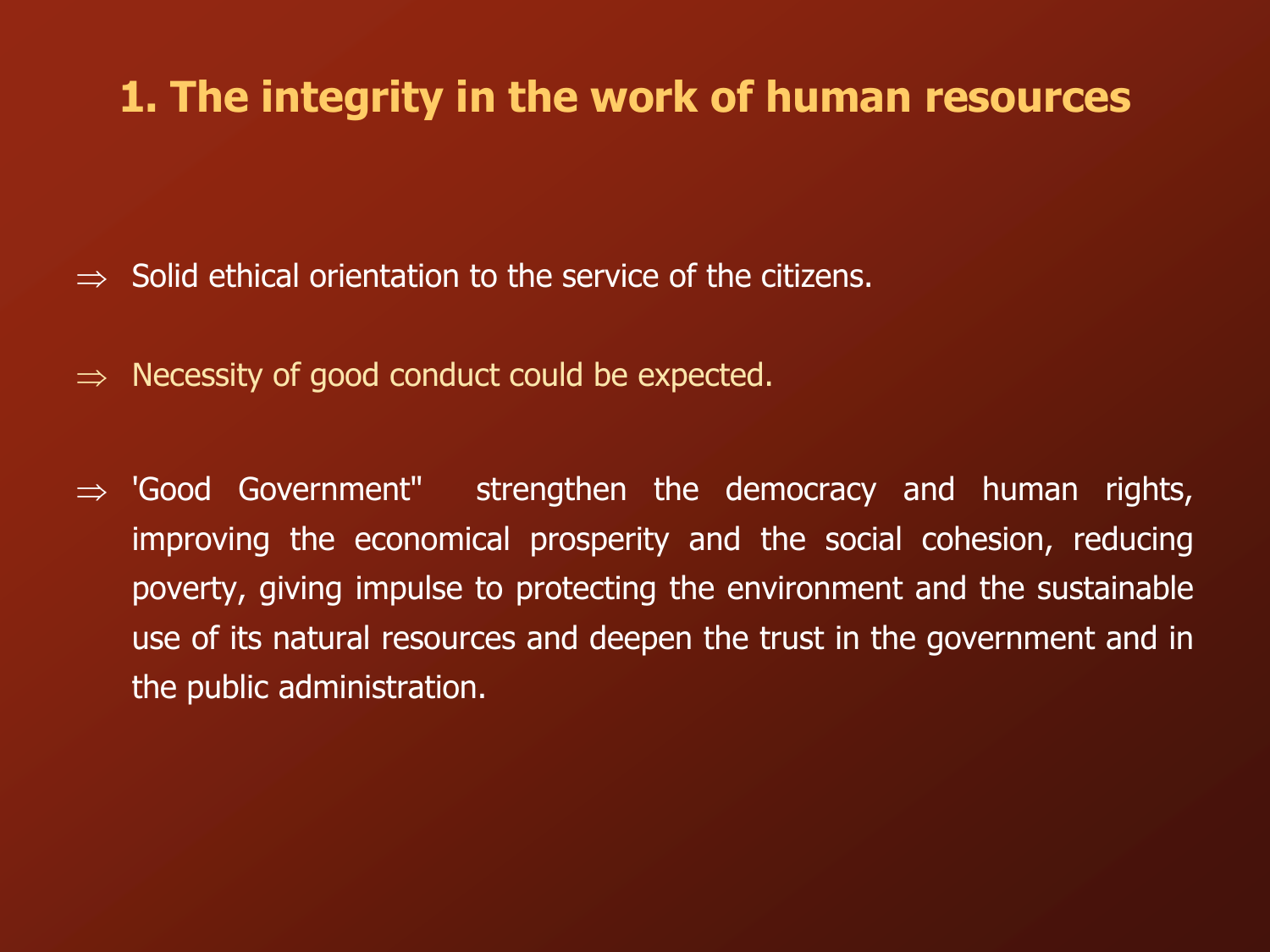### **1. The integrity in the work of human resources**

- Solid ethical orientation to the service of the citizens.
- $\Rightarrow$  Necessity of good conduct could be expected.
- $\Rightarrow$  'Good Government" strengthen the democracy and human rights, improving the economical prosperity and the social cohesion, reducing poverty, giving impulse to protecting the environment and the sustainable use of its natural resources and deepen the trust in the government and in the public administration.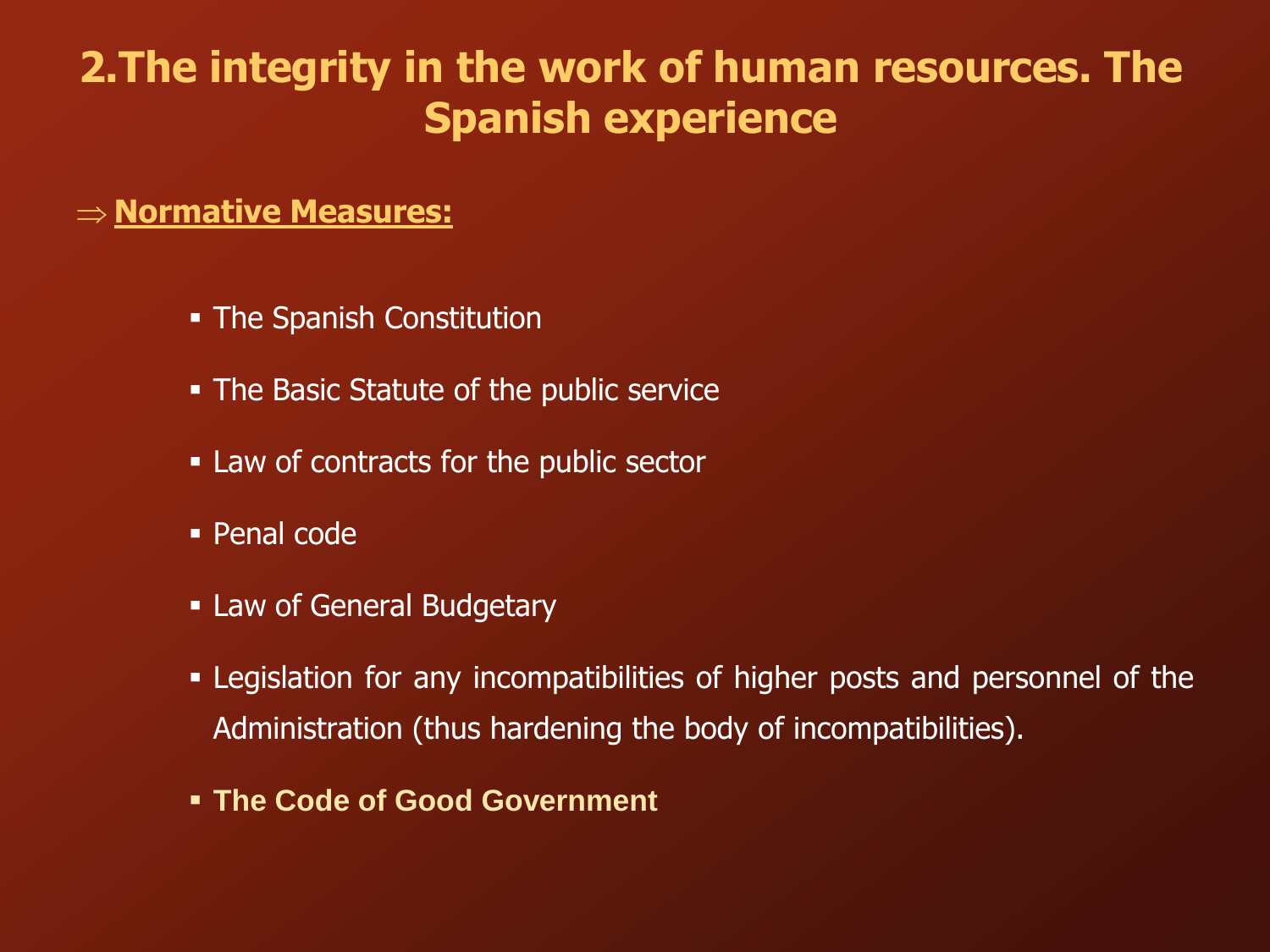# **2.The integrity in the work of human resources. The Spanish experience**

#### **Normative Measures:**

- The Spanish Constitution
- The Basic Statute of the public service
- Law of contracts for the public sector
- Penal code
- **Example 1 Law of General Budgetary**
- Legislation for any incompatibilities of higher posts and personnel of the Administration (thus hardening the body of incompatibilities).
- **The Code of Good Government**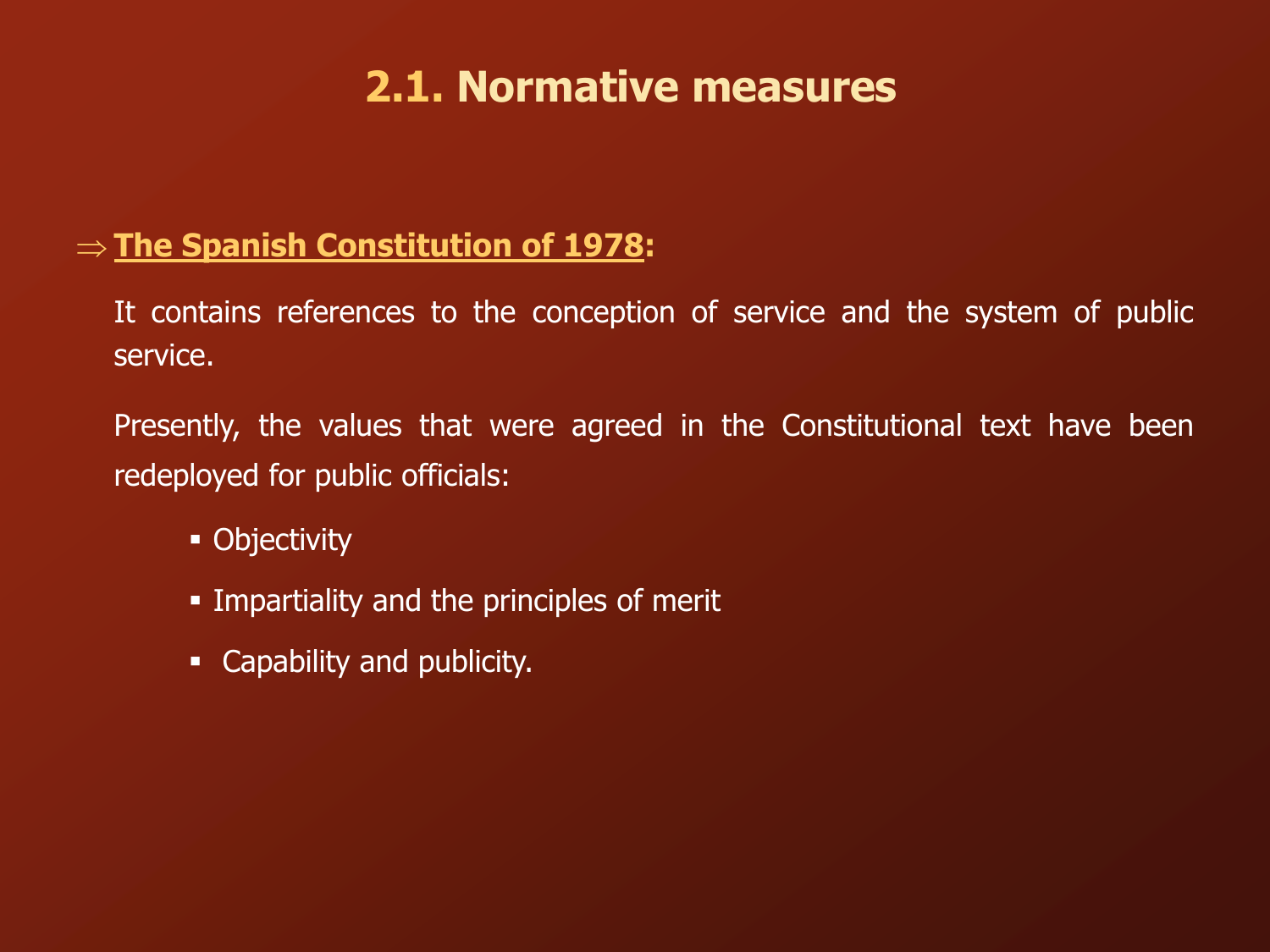# **2.1. Normative measures**

### **The Spanish Constitution of 1978:**

It contains references to the conception of service and the system of public service.

Presently, the values that were agreed in the Constitutional text have been redeployed for public officials:

- Objectivity
- **Impartiality and the principles of merit**
- **-** Capability and publicity.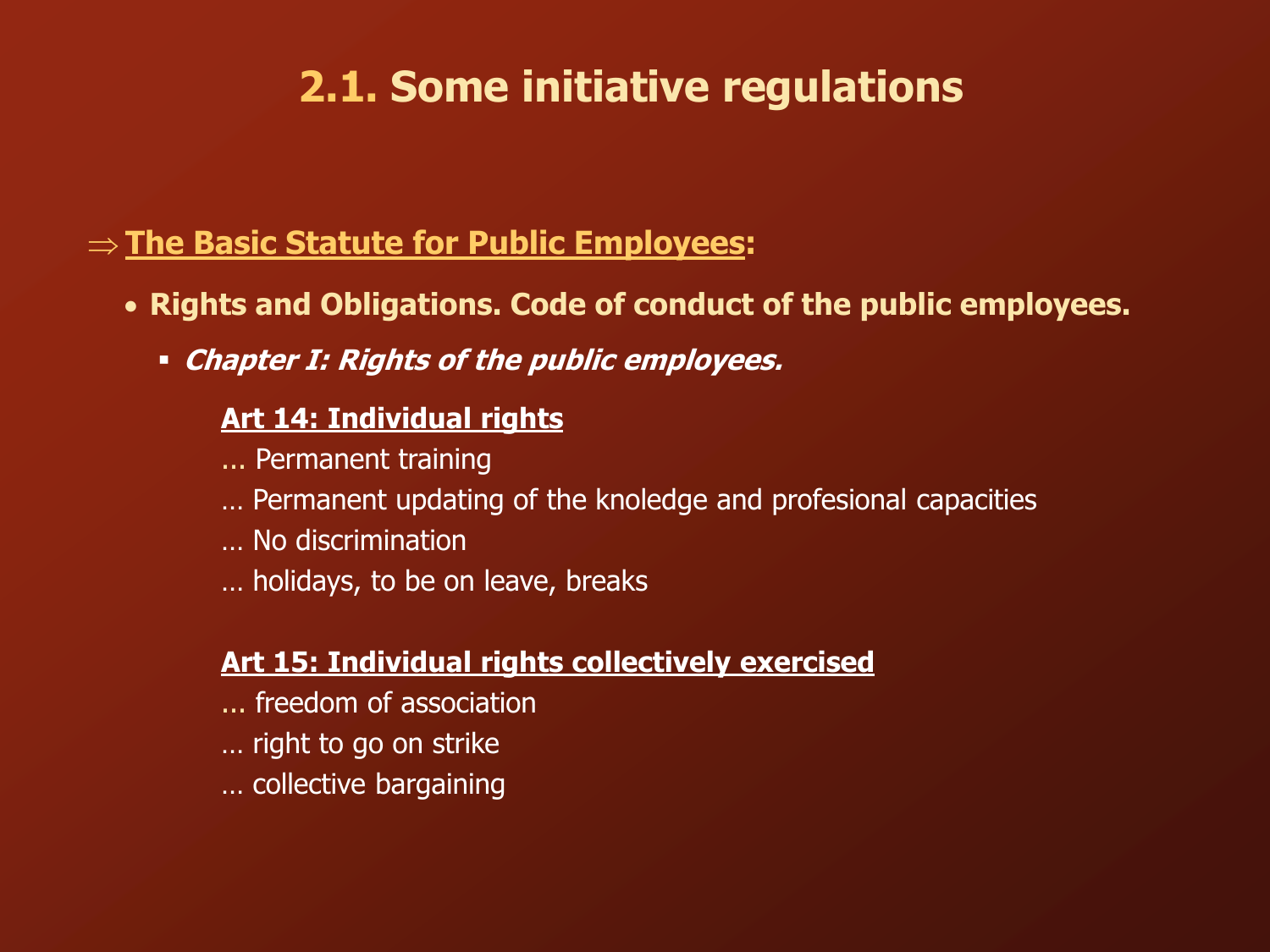# **2.1. Some initiative regulations**

### **The Basic Statute for Public Employees:**

- **Rights and Obligations. Code of conduct of the public employees.**
	- **Chapter I: Rights of the public employees.**

#### **Art 14: Individual rights**

- ... Permanent training
- … Permanent updating of the knoledge and profesional capacities
- … No discrimination
- … holidays, to be on leave, breaks

### **Art 15: Individual rights collectively exercised**

- ... freedom of association
- … right to go on strike
- … collective bargaining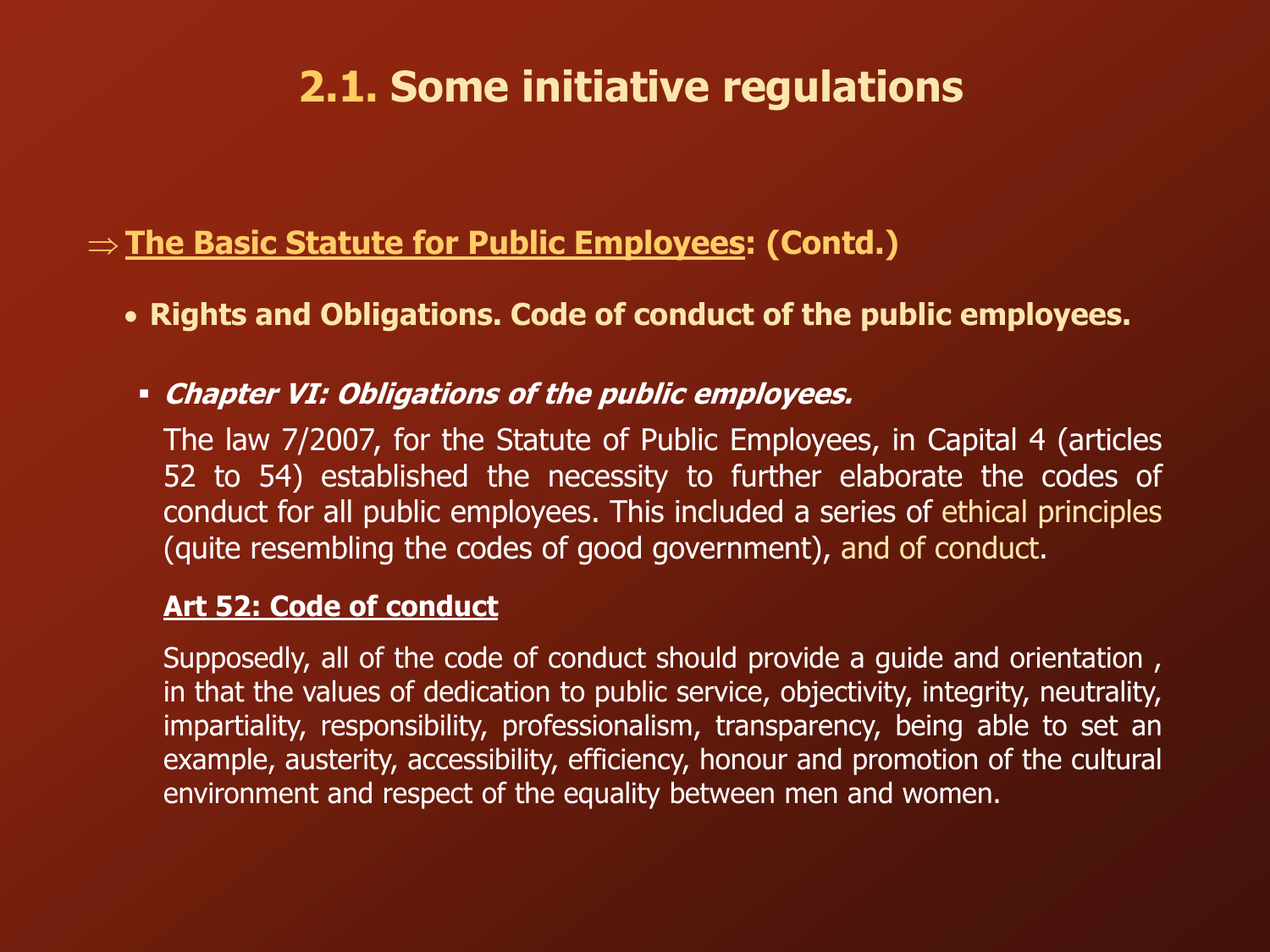# **2.1. Some initiative regulations**

### **The Basic Statute for Public Employees: (Contd.)**

- **Rights and Obligations. Code of conduct of the public employees.**
	- **Chapter VI: Obligations of the public employees.**

The law 7/2007, for the Statute of Public Employees, in Capital 4 (articles 52 to 54) established the necessity to further elaborate the codes of conduct for all public employees. This included a series of ethical principles (quite resembling the codes of good government), and of conduct.

#### **Art 52: Code of conduct**

Supposedly, all of the code of conduct should provide a guide and orientation, in that the values of dedication to public service, objectivity, integrity, neutrality, impartiality, responsibility, professionalism, transparency, being able to set an example, austerity, accessibility, efficiency, honour and promotion of the cultural environment and respect of the equality between men and women.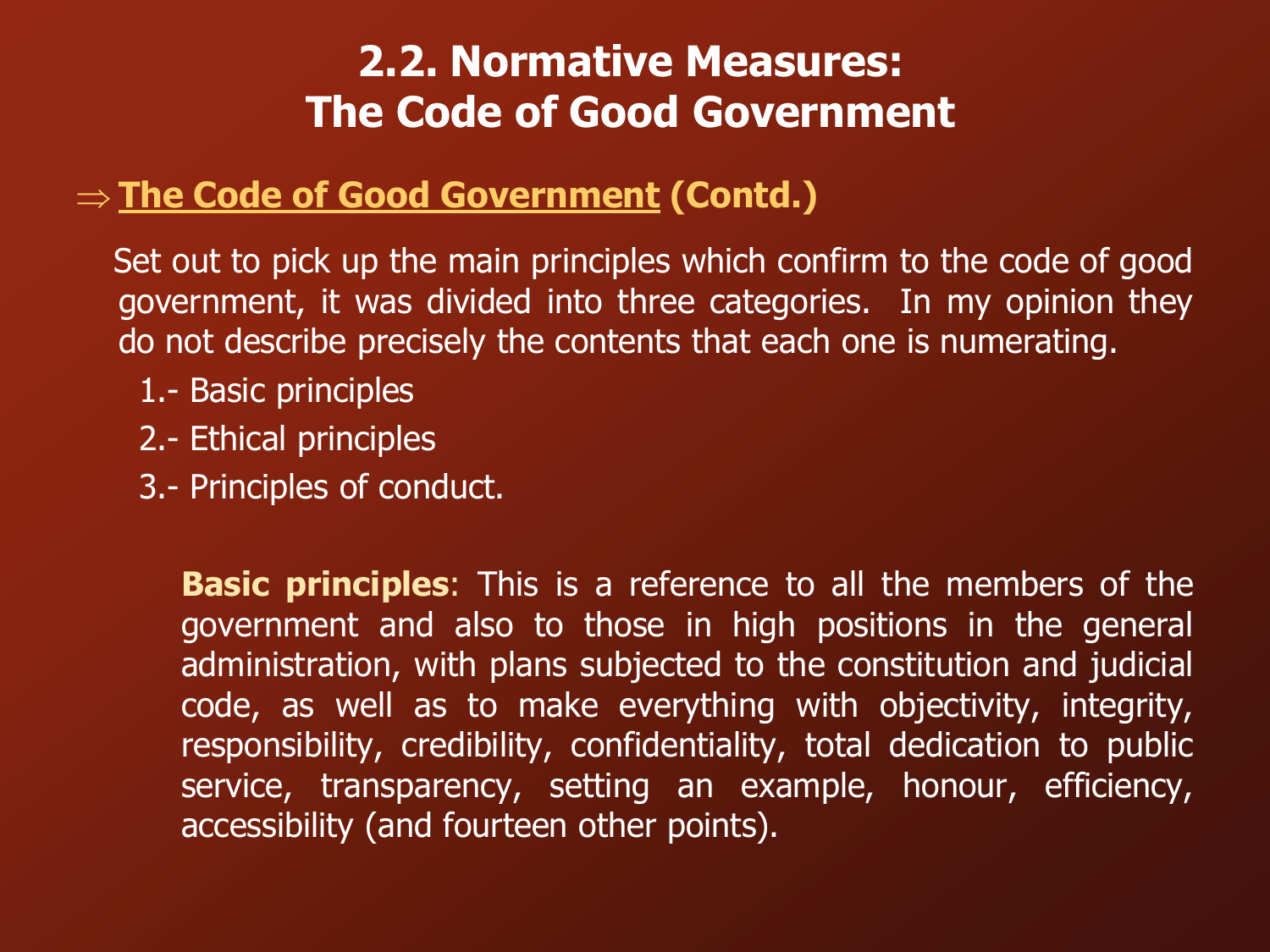# **2.2. Normative Measures: The Code of Good Government**

### **The Code of Good Government (Contd.)**

Set out to pick up the main principles which confirm to the code of good government, it was divided into three categories. In my opinion they do not describe precisely the contents that each one is numerating.

- 1.- Basic principles
- 2.- Ethical principles
- 3.- Principles of conduct.

**Basic principles**: This is a reference to all the members of the government and also to those in high positions in the general administration, with plans subjected to the constitution and judicial code, as well as to make everything with objectivity, integrity, responsibility, credibility, confidentiality, total dedication to public service, transparency, setting an example, honour, efficiency, accessibility (and fourteen other points).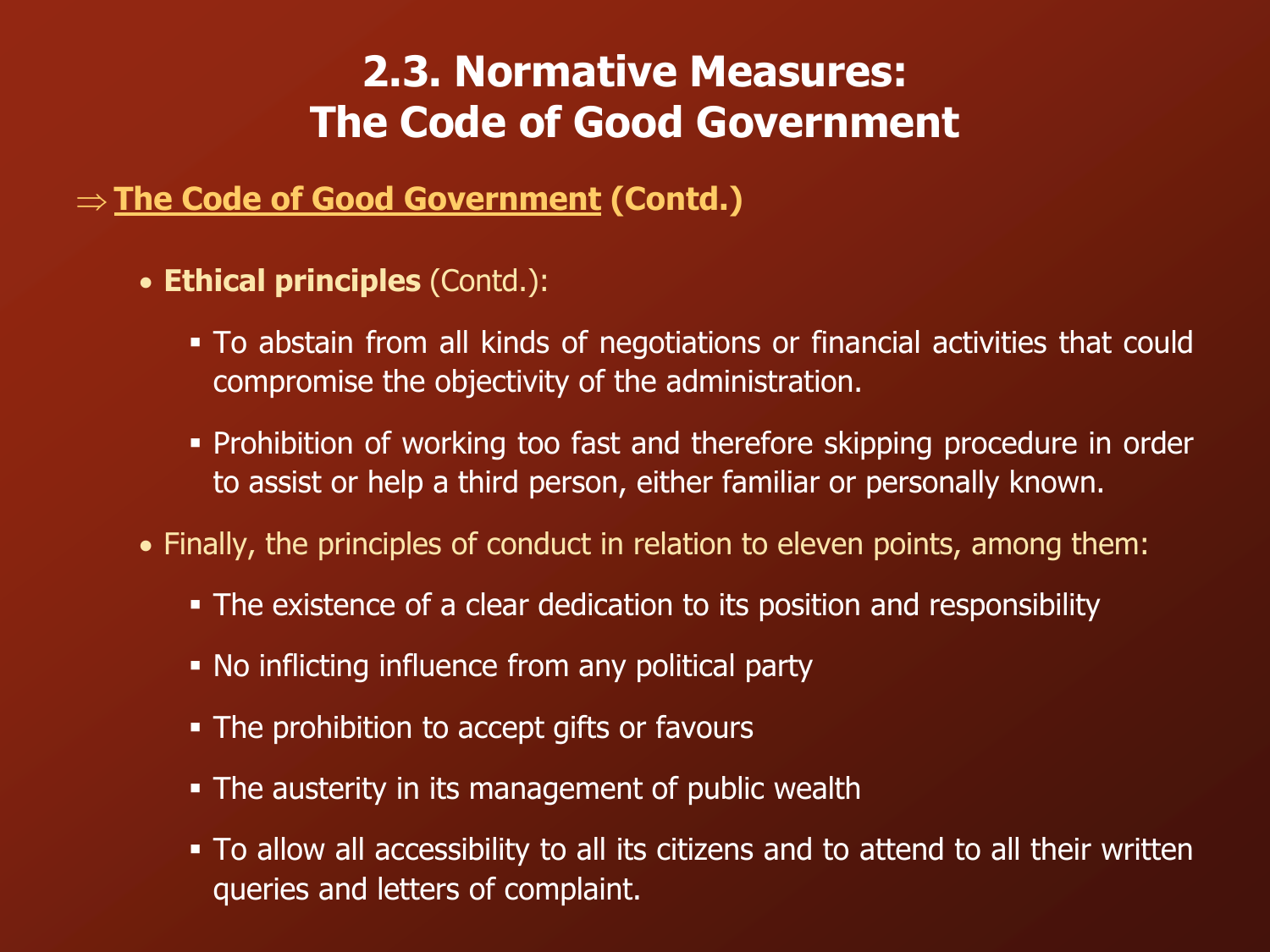## **2.3. Normative Measures: The Code of Good Government**

### **The Code of Good Government (Contd.)**

- **Ethical principles** (Contd.):
	- To abstain from all kinds of negotiations or financial activities that could compromise the objectivity of the administration.
	- Prohibition of working too fast and therefore skipping procedure in order to assist or help a third person, either familiar or personally known.
- Finally, the principles of conduct in relation to eleven points, among them:
	- The existence of a clear dedication to its position and responsibility
	- No inflicting influence from any political party
	- The prohibition to accept gifts or favours
	- The austerity in its management of public wealth
	- To allow all accessibility to all its citizens and to attend to all their written queries and letters of complaint.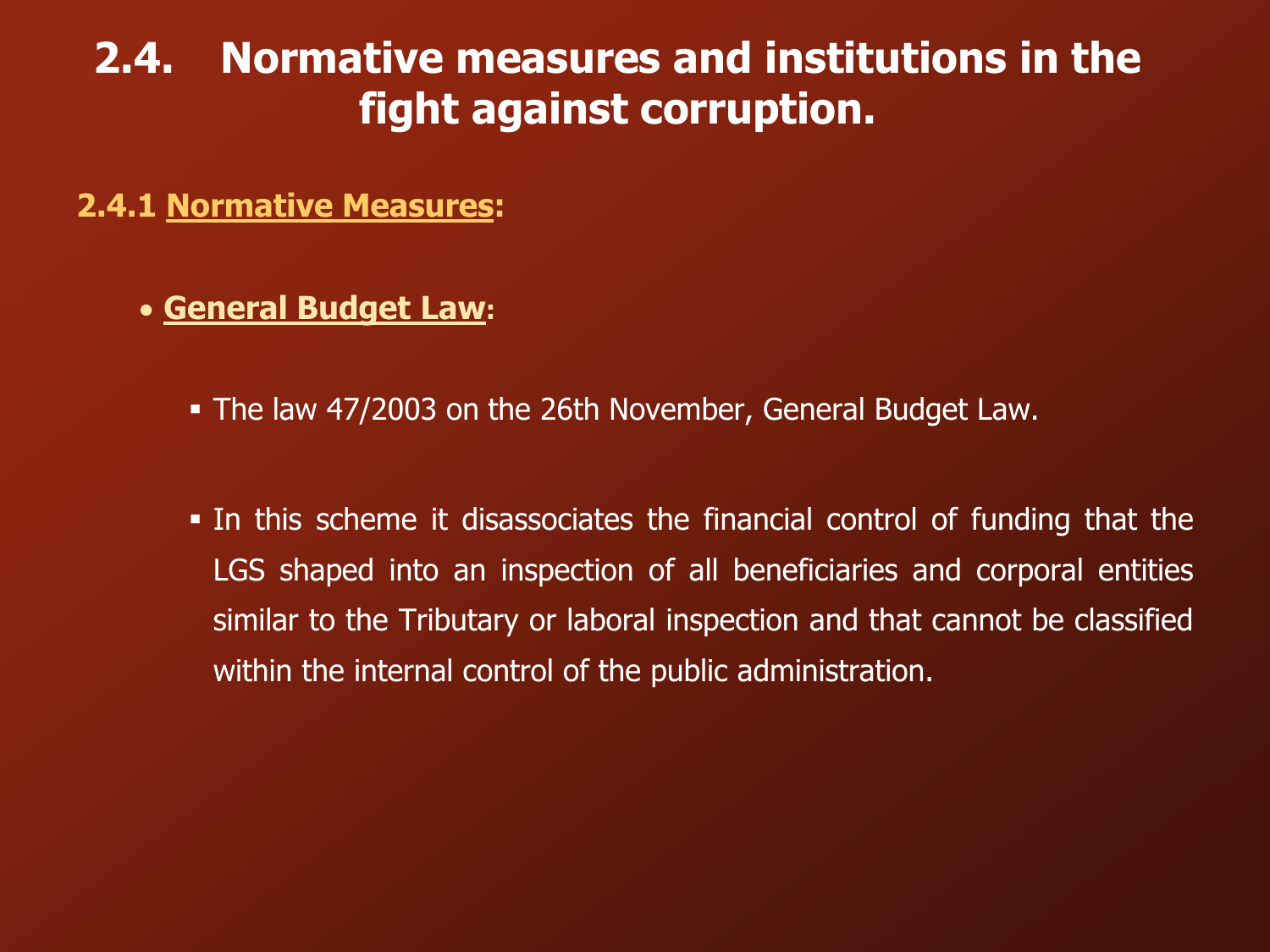### **2.4. Normative measures and institutions in the fight against corruption.**

**2.4.1 Normative Measures:**

**General Budget Law:**

The law 47/2003 on the 26th November, General Budget Law.

 In this scheme it disassociates the financial control of funding that the LGS shaped into an inspection of all beneficiaries and corporal entities similar to the Tributary or laboral inspection and that cannot be classified within the internal control of the public administration.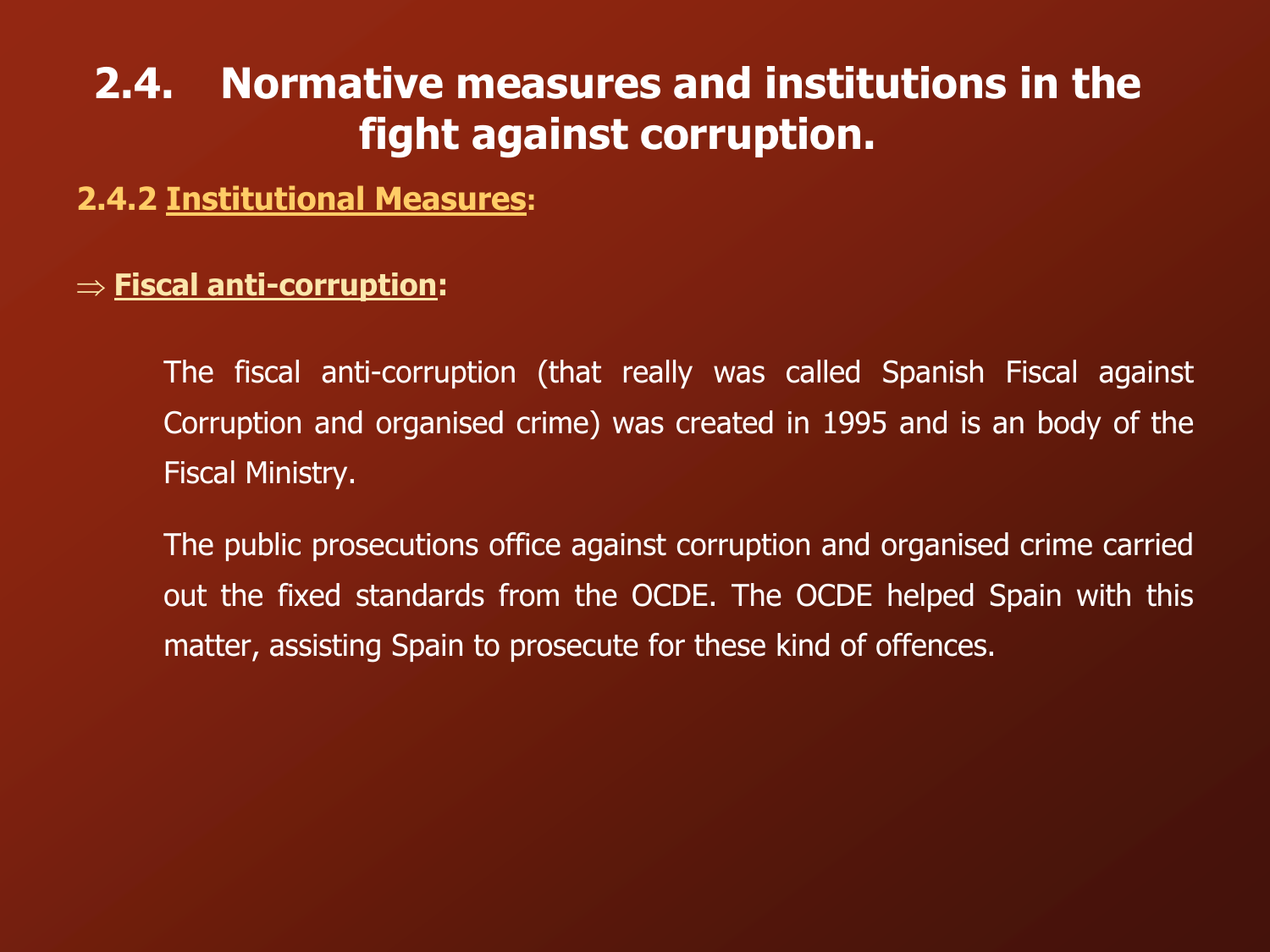# **2.4. Normative measures and institutions in the fight against corruption.**

### **2.4.2 Institutional Measures:**

#### **Fiscal anti-corruption:**

The fiscal anti-corruption (that really was called Spanish Fiscal against Corruption and organised crime) was created in 1995 and is an body of the Fiscal Ministry.

The public prosecutions office against corruption and organised crime carried out the fixed standards from the OCDE. The OCDE helped Spain with this matter, assisting Spain to prosecute for these kind of offences.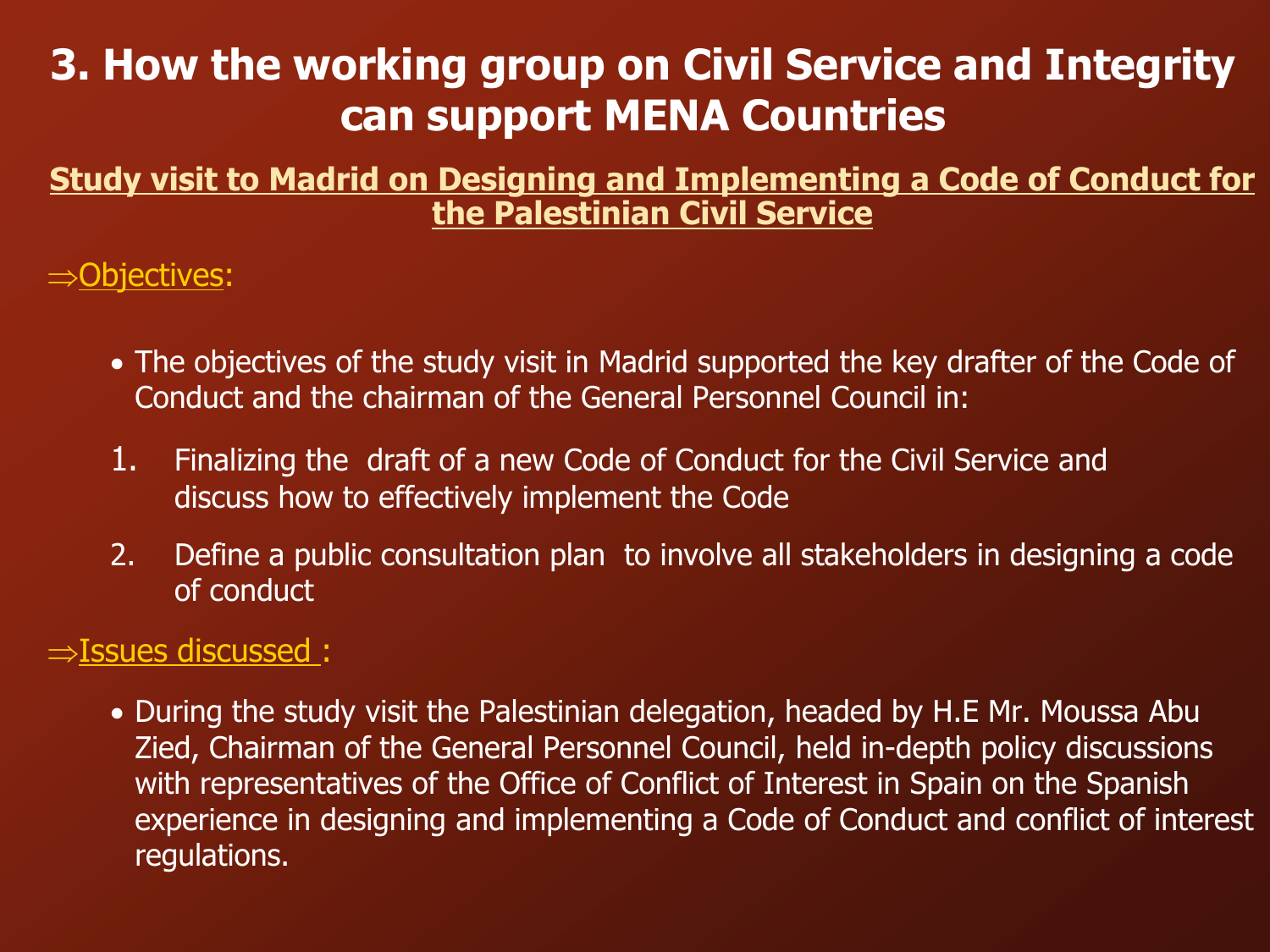# **3. How the working group on Civil Service and Integrity can support MENA Countries**

### **Study visit to Madrid on Designing and Implementing a Code of Conduct for the Palestinian Civil Service**

 $\Rightarrow$ Objectives:

- The objectives of the study visit in Madrid supported the key drafter of the Code of Conduct and the chairman of the General Personnel Council in:
- 1. Finalizing the draft of a new Code of Conduct for the Civil Service and discuss how to effectively implement the Code
- 2. Define a public consultation plan to involve all stakeholders in designing a code of conduct

### $\Rightarrow$  Issues discussed :

• During the study visit the Palestinian delegation, headed by H.E Mr. Moussa Abu Zied, Chairman of the General Personnel Council, held in-depth policy discussions with representatives of the Office of Conflict of Interest in Spain on the Spanish experience in designing and implementing a Code of Conduct and conflict of interest regulations.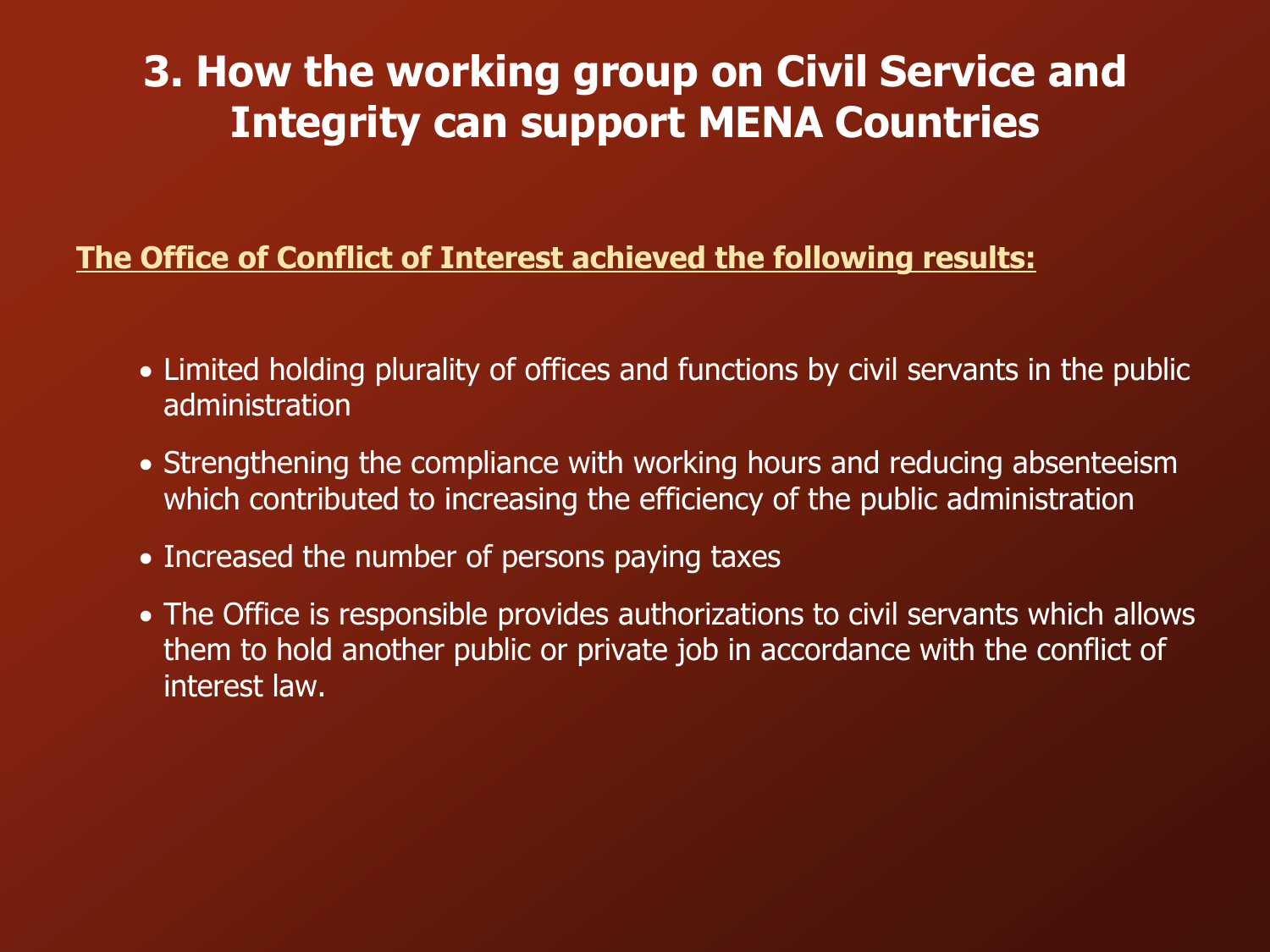## **3. How the working group on Civil Service and Integrity can support MENA Countries**

#### **The Office of Conflict of Interest achieved the following results:**

- Limited holding plurality of offices and functions by civil servants in the public administration
- Strengthening the compliance with working hours and reducing absenteeism which contributed to increasing the efficiency of the public administration
- Increased the number of persons paying taxes
- The Office is responsible provides authorizations to civil servants which allows them to hold another public or private job in accordance with the conflict of interest law.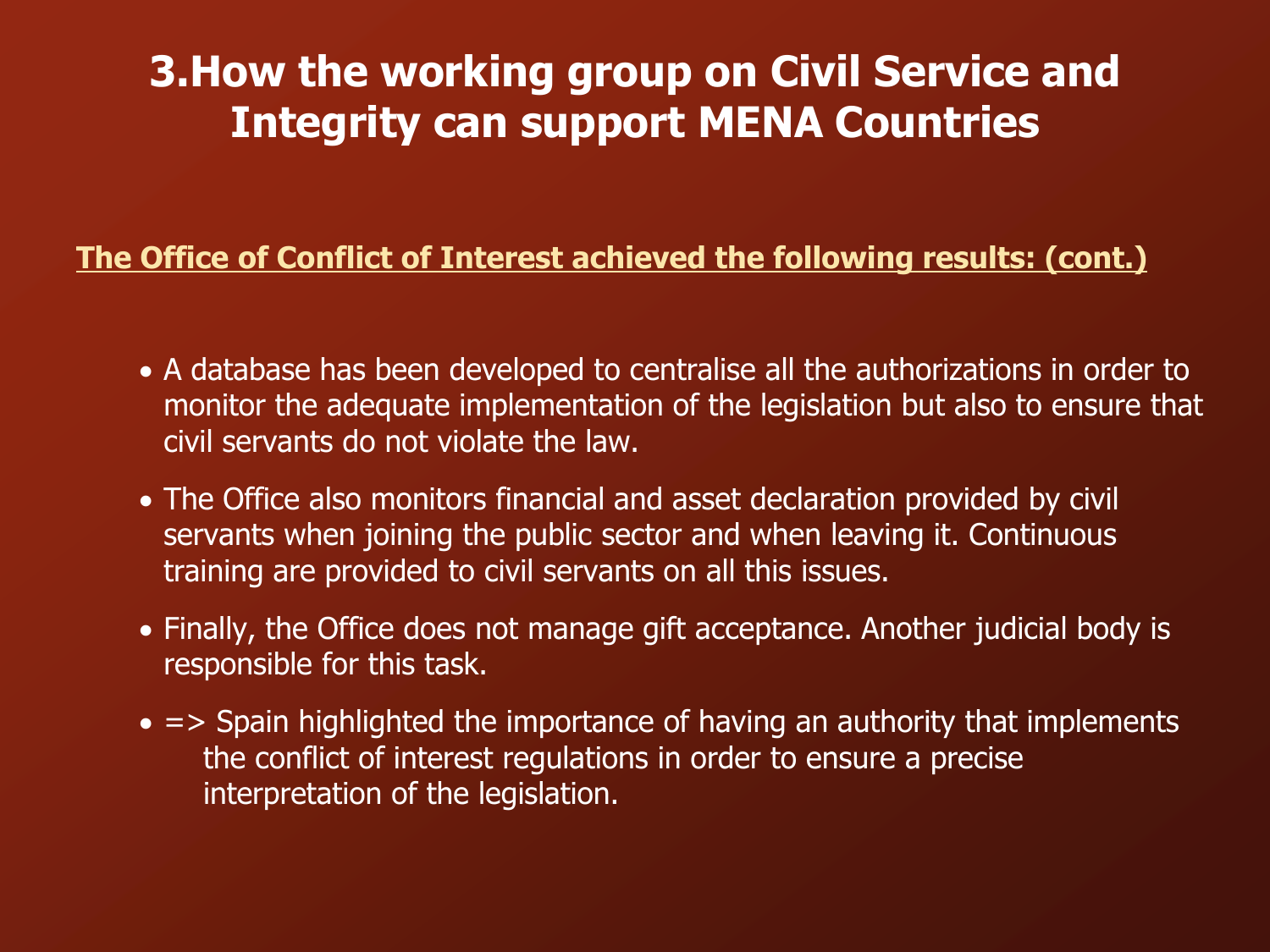## **3.How the working group on Civil Service and Integrity can support MENA Countries**

### **The Office of Conflict of Interest achieved the following results: (cont.)**

- A database has been developed to centralise all the authorizations in order to monitor the adequate implementation of the legislation but also to ensure that civil servants do not violate the law.
- The Office also monitors financial and asset declaration provided by civil servants when joining the public sector and when leaving it. Continuous training are provided to civil servants on all this issues.
- Finally, the Office does not manage gift acceptance. Another judicial body is responsible for this task.
- $\bullet$  => Spain highlighted the importance of having an authority that implements the conflict of interest regulations in order to ensure a precise interpretation of the legislation.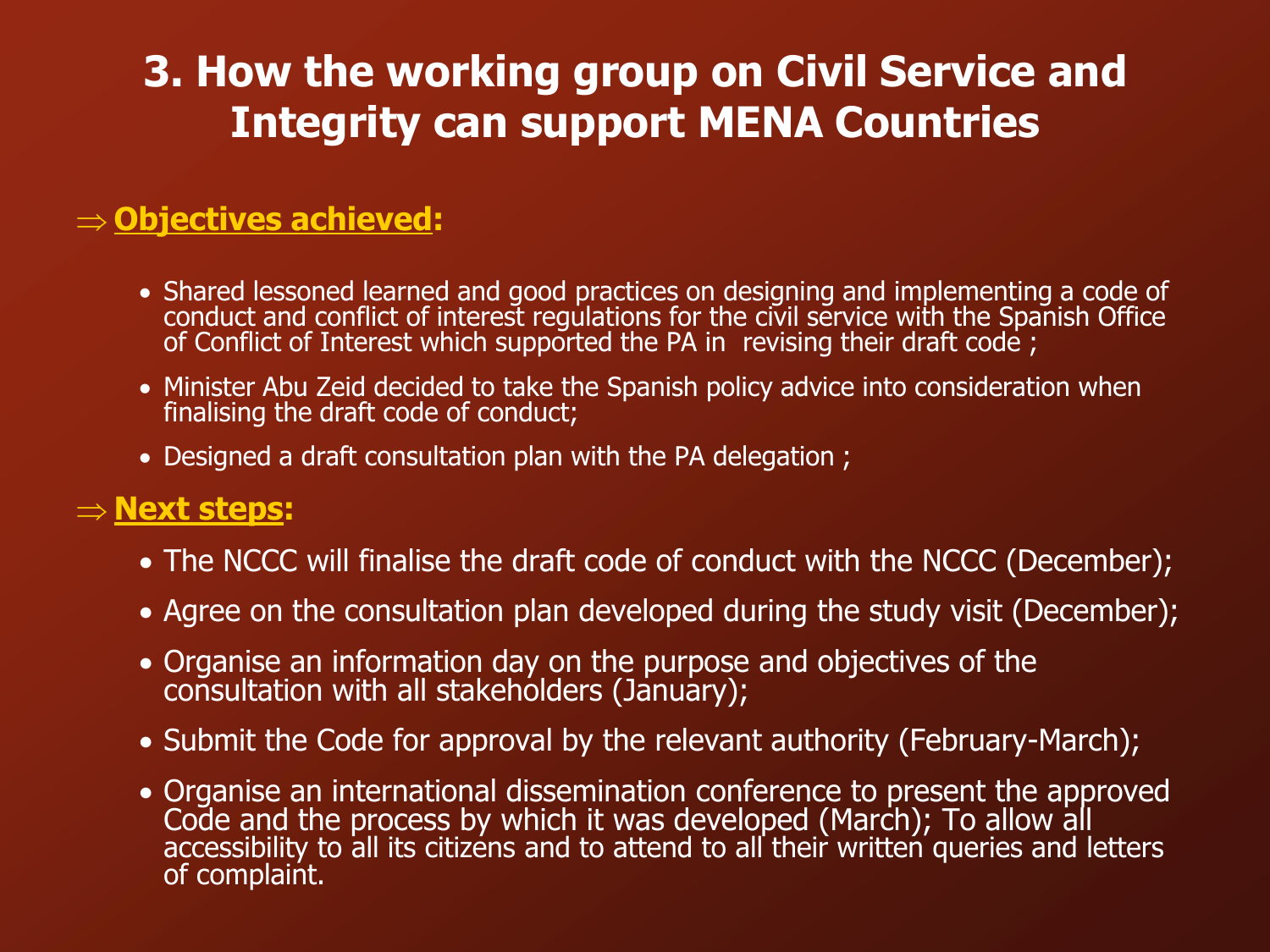# **3. How the working group on Civil Service and Integrity can support MENA Countries**

### **Objectives achieved:**

- Shared lessoned learned and good practices on designing and implementing a code of conduct and conflict of interest regulations for the civil service with the Spanish Office of Conflict of Interest which supported the PA in revising their draft code;
- Minister Abu Zeid decided to take the Spanish policy advice into consideration when finalising the draft code of conduct;
- Designed a draft consultation plan with the PA delegation ;

#### **Next steps:**

- The NCCC will finalise the draft code of conduct with the NCCC (December);
- Agree on the consultation plan developed during the study visit (December);
- Organise an information day on the purpose and objectives of the consultation with all stakeholders (January);
- Submit the Code for approval by the relevant authority (February-March);
- Organise an international dissemination conference to present the approved Code and the process by which it was developed (March); To allow all accessibility to all its citizens and to attend to all their written queries and letters of complaint.